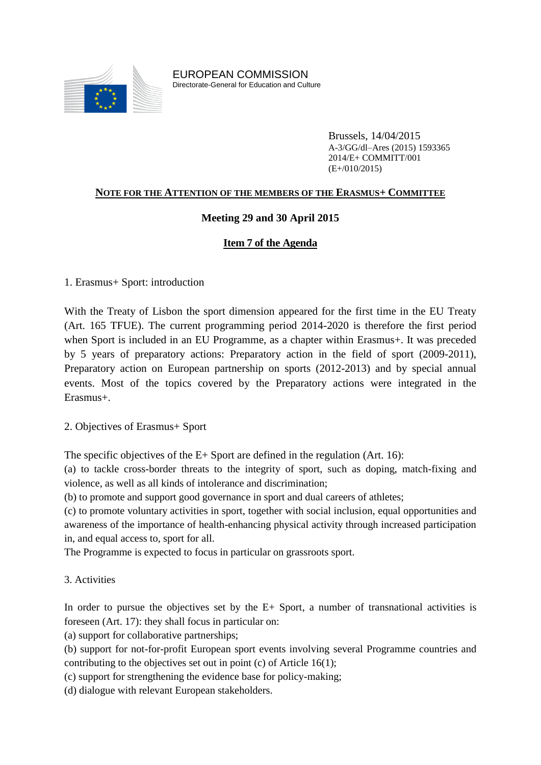

EUROPEAN COMMISSION Directorate-General for Education and Culture

> Brussels, 14/04/2015 A-3/GG/dl–Ares (2015) 1593365 2014/E+ COMMITT/001 (E+/010/2015)

### **NOTE FOR THE ATTENTION OF THE MEMBERS OF THE ERASMUS+ COMMITTEE**

### **Meeting 29 and 30 April 2015**

## **Item 7 of the Agenda**

1. Erasmus+ Sport: introduction

With the Treaty of Lisbon the sport dimension appeared for the first time in the EU Treaty (Art. 165 TFUE). The current programming period 2014-2020 is therefore the first period when Sport is included in an EU Programme, as a chapter within Erasmus+. It was preceded by 5 years of preparatory actions: Preparatory action in the field of sport (2009-2011), Preparatory action on European partnership on sports (2012-2013) and by special annual events. Most of the topics covered by the Preparatory actions were integrated in the Erasmus+.

2. Objectives of Erasmus+ Sport

The specific objectives of the  $E+$  Sport are defined in the regulation (Art. 16):

(a) to tackle cross-border threats to the integrity of sport, such as doping, match-fixing and violence, as well as all kinds of intolerance and discrimination;

(b) to promote and support good governance in sport and dual careers of athletes;

(c) to promote voluntary activities in sport, together with social inclusion, equal opportunities and awareness of the importance of health-enhancing physical activity through increased participation in, and equal access to, sport for all.

The Programme is expected to focus in particular on grassroots sport.

3. Activities

In order to pursue the objectives set by the E+ Sport, a number of transnational activities is foreseen (Art. 17): they shall focus in particular on:

(a) support for collaborative partnerships;

(b) support for not-for-profit European sport events involving several Programme countries and contributing to the objectives set out in point (c) of Article 16(1);

(c) support for strengthening the evidence base for policy-making;

(d) dialogue with relevant European stakeholders.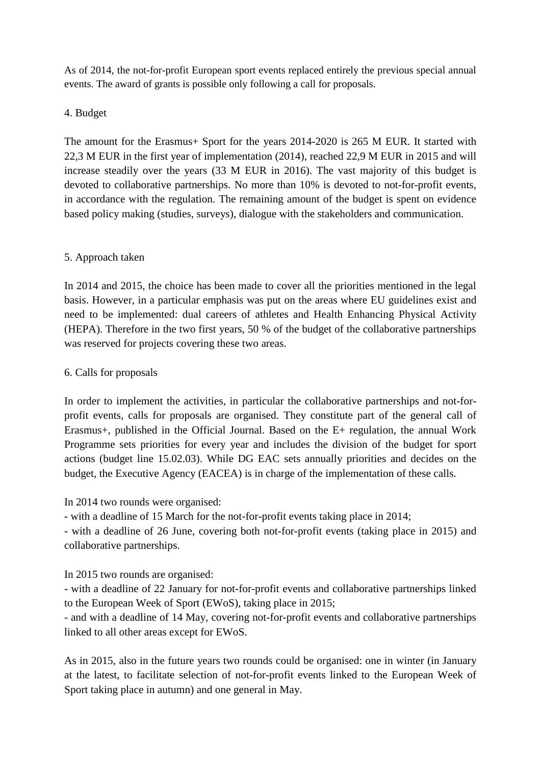As of 2014, the not-for-profit European sport events replaced entirely the previous special annual events. The award of grants is possible only following a call for proposals.

## 4. Budget

The amount for the Erasmus+ Sport for the years 2014-2020 is 265 M EUR. It started with 22,3 M EUR in the first year of implementation (2014), reached 22,9 M EUR in 2015 and will increase steadily over the years (33 M EUR in 2016). The vast majority of this budget is devoted to collaborative partnerships. No more than 10% is devoted to not-for-profit events, in accordance with the regulation. The remaining amount of the budget is spent on evidence based policy making (studies, surveys), dialogue with the stakeholders and communication.

## 5. Approach taken

In 2014 and 2015, the choice has been made to cover all the priorities mentioned in the legal basis. However, in a particular emphasis was put on the areas where EU guidelines exist and need to be implemented: dual careers of athletes and Health Enhancing Physical Activity (HEPA). Therefore in the two first years, 50 % of the budget of the collaborative partnerships was reserved for projects covering these two areas.

### 6. Calls for proposals

In order to implement the activities, in particular the collaborative partnerships and not-forprofit events, calls for proposals are organised. They constitute part of the general call of Erasmus+, published in the Official Journal. Based on the E+ regulation, the annual Work Programme sets priorities for every year and includes the division of the budget for sport actions (budget line 15.02.03). While DG EAC sets annually priorities and decides on the budget, the Executive Agency (EACEA) is in charge of the implementation of these calls.

In 2014 two rounds were organised:

- with a deadline of 15 March for the not-for-profit events taking place in 2014;

- with a deadline of 26 June, covering both not-for-profit events (taking place in 2015) and collaborative partnerships.

In 2015 two rounds are organised:

- with a deadline of 22 January for not-for-profit events and collaborative partnerships linked to the European Week of Sport (EWoS), taking place in 2015;

- and with a deadline of 14 May, covering not-for-profit events and collaborative partnerships linked to all other areas except for EWoS.

As in 2015, also in the future years two rounds could be organised: one in winter (in January at the latest, to facilitate selection of not-for-profit events linked to the European Week of Sport taking place in autumn) and one general in May.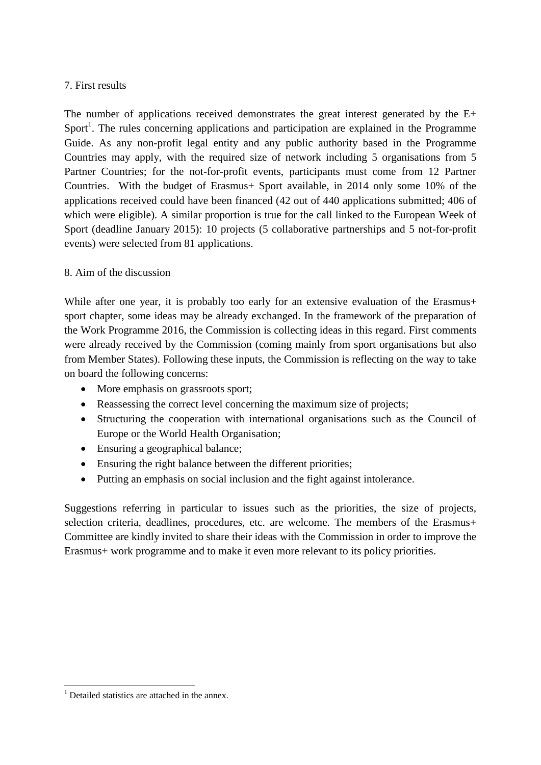### 7. First results

The number of applications received demonstrates the great interest generated by the E+ Sport<sup>1</sup>. The rules concerning applications and participation are explained in the Programme Guide. As any non-profit legal entity and any public authority based in the Programme Countries may apply, with the required size of network including 5 organisations from 5 Partner Countries; for the not-for-profit events, participants must come from 12 Partner Countries. With the budget of Erasmus+ Sport available, in 2014 only some 10% of the applications received could have been financed (42 out of 440 applications submitted; 406 of which were eligible). A similar proportion is true for the call linked to the European Week of Sport (deadline January 2015): 10 projects (5 collaborative partnerships and 5 not-for-profit events) were selected from 81 applications.

### 8. Aim of the discussion

While after one year, it is probably too early for an extensive evaluation of the Erasmus+ sport chapter, some ideas may be already exchanged. In the framework of the preparation of the Work Programme 2016, the Commission is collecting ideas in this regard. First comments were already received by the Commission (coming mainly from sport organisations but also from Member States). Following these inputs, the Commission is reflecting on the way to take on board the following concerns:

- More emphasis on grassroots sport;
- Reassessing the correct level concerning the maximum size of projects;
- Structuring the cooperation with international organisations such as the Council of Europe or the World Health Organisation;
- Ensuring a geographical balance;
- Ensuring the right balance between the different priorities;
- Putting an emphasis on social inclusion and the fight against intolerance.

Suggestions referring in particular to issues such as the priorities, the size of projects, selection criteria, deadlines, procedures, etc. are welcome. The members of the Erasmus+ Committee are kindly invited to share their ideas with the Commission in order to improve the Erasmus+ work programme and to make it even more relevant to its policy priorities.

1

 $1$  Detailed statistics are attached in the annex.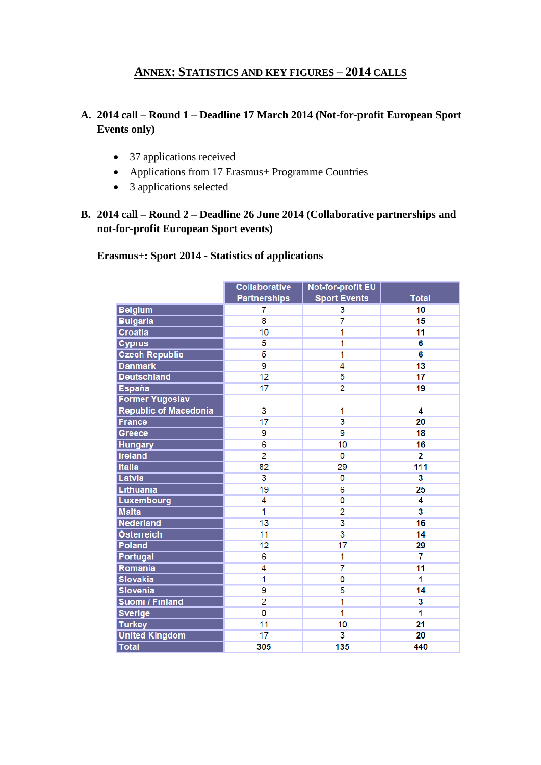## **ANNEX: STATISTICS AND KEY FIGURES – 2014 CALLS**

## **A. 2014 call – Round 1 – Deadline 17 March 2014 (Not-for-profit European Sport Events only)**

- 37 applications received
- Applications from 17 Erasmus+ Programme Countries
- 3 applications selected

## **B. 2014 call – Round 2 – Deadline 26 June 2014 (Collaborative partnerships and not-for-profit European Sport events)**

## **Erasmus+: Sport 2014 - Statistics of applications**

|                              | <b>Collaborative</b>    | <b>Not-for-profit EU</b> |                         |
|------------------------------|-------------------------|--------------------------|-------------------------|
|                              | <b>Partnerships</b>     | <b>Sport Events</b>      | <b>Total</b>            |
| <b>Belgium</b>               | 7                       | 3                        | 10                      |
| <b>Bulgaria</b>              | $\overline{\mathbf{8}}$ | 7                        | 15                      |
| <b>Croatia</b>               | 10                      | 1                        | 11                      |
| <b>Cyprus</b>                | 5                       | 1                        | 6                       |
| <b>Czech Republic</b>        | 5                       | 1                        | 6                       |
| <b>Danmark</b>               | 9                       | 4                        | 13                      |
| <b>Deutschland</b>           | 12                      | 5                        | 17                      |
| <b>España</b>                | 17                      | $\overline{2}$           | 19                      |
| <b>Former Yugoslav</b>       |                         |                          |                         |
| <b>Republic of Macedonia</b> | 3                       | 1                        | 4                       |
| <b>France</b>                | 17                      | $\overline{\mathbf{3}}$  | 20                      |
| Greece                       | 9                       | $\overline{9}$           | 18                      |
| <b>Hungary</b>               | 6                       | 10                       | 16                      |
| <b>Ireland</b>               | $\overline{2}$          | 0                        | 2                       |
| <b>Italia</b>                | 82                      | 29                       | 111                     |
| Latvia                       | $\overline{\mathbf{3}}$ | 0                        | 3                       |
| Lithuania                    | 19                      | 6                        | 25                      |
| Luxembourg                   | 4                       | 0                        | 4                       |
| <b>Malta</b>                 | 1                       | $\overline{2}$           | $\overline{\mathbf{3}}$ |
| <b>Nederland</b>             | 13                      | $\overline{\mathbf{3}}$  | 16                      |
| Österreich                   | 11                      | $\overline{3}$           | 14                      |
| Poland                       | 12                      | 17                       | 29                      |
| Portugal                     | $\overline{6}$          | 1                        | $\overline{\mathbf{r}}$ |
| Romania                      | $\overline{4}$          | $\overline{7}$           | 11                      |
| <b>Slovakia</b>              | 1                       | 0                        | 1                       |
| <b>Slovenia</b>              | $\overline{9}$          | $\overline{5}$           | 14                      |
| <b>Suomi / Finland</b>       | $\overline{2}$          | 1                        | $\overline{\mathbf{3}}$ |
| <b>Sverige</b>               | 0                       | 1                        | 1                       |
| <b>Turkey</b>                | 11                      | 10                       | 21                      |
| <b>United Kingdom</b>        | 17                      | $\overline{3}$           | 20                      |
| <b>Total</b>                 | 305                     | 135                      | 440                     |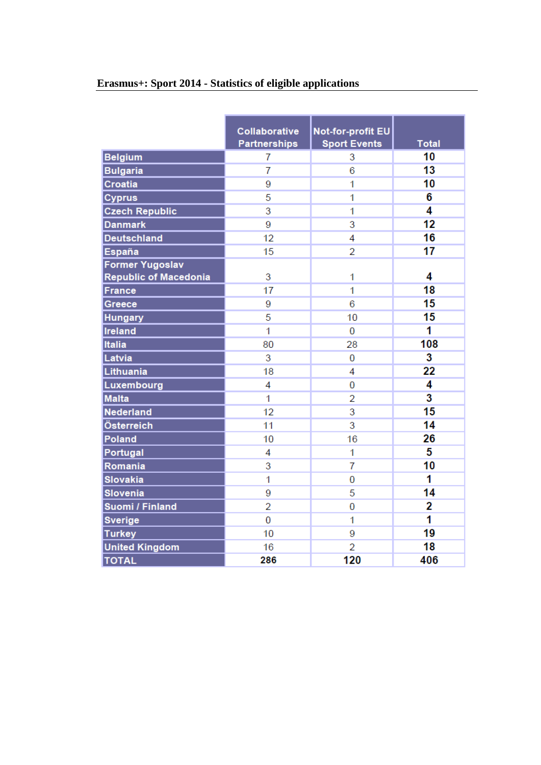|                              | <b>Collaborative</b> | <b>Not-for-profit EU</b> |                         |
|------------------------------|----------------------|--------------------------|-------------------------|
|                              | <b>Partnerships</b>  | <b>Sport Events</b>      | <b>Total</b>            |
| <b>Belgium</b>               | 7                    | 3                        | 10                      |
| <b>Bulgaria</b>              | $\overline{7}$       | 6                        | 13                      |
| Croatia                      | 9                    | 1                        | 10                      |
| <b>Cyprus</b>                | 5                    | 1                        | 6                       |
| <b>Czech Republic</b>        | 3                    | 1                        | 4                       |
| <b>Danmark</b>               | 9                    | 3                        | 12                      |
| <b>Deutschland</b>           | 12                   | 4                        | 16                      |
| España                       | 15                   | $\overline{2}$           | 17                      |
| <b>Former Yugoslav</b>       |                      |                          |                         |
| <b>Republic of Macedonia</b> | 3                    | 1                        | 4                       |
| <b>France</b>                | 17                   | 1                        | 18                      |
| Greece                       | 9                    | 6                        | 15                      |
| <b>Hungary</b>               | 5                    | 10                       | 15                      |
| Ireland                      | 1                    | 0                        | 1                       |
| Italia                       | 80                   | 28                       | 108                     |
| Latvia                       | 3                    | 0                        | $\overline{\mathbf{3}}$ |
| Lithuania                    | 18                   | 4                        | 22                      |
| Luxembourg                   | 4                    | 0                        | 4                       |
| <b>Malta</b>                 | 1                    | 2                        | $\overline{\mathbf{3}}$ |
| Nederland                    | 12                   | 3                        | 15                      |
| Österreich                   | 11                   | 3                        | 14                      |
| Poland                       | 10                   | 16                       | 26                      |
| Portugal                     | 4                    | 1                        | 5                       |
| Romania                      | 3                    | 7                        | 10                      |
| <b>Slovakia</b>              | 1                    | $\overline{0}$           | 1                       |
| <b>Slovenia</b>              | 9                    | 5                        | 14                      |
| <b>Suomi / Finland</b>       | $\overline{2}$       | 0                        | 2                       |
| <b>Sverige</b>               | 0                    | 1                        | 1                       |
| <b>Turkey</b>                | 10                   | 9                        | 19                      |
| <b>United Kingdom</b>        | 16                   | $\overline{2}$           | 18                      |
| <b>TOTAL</b>                 | 286                  | 120                      | 406                     |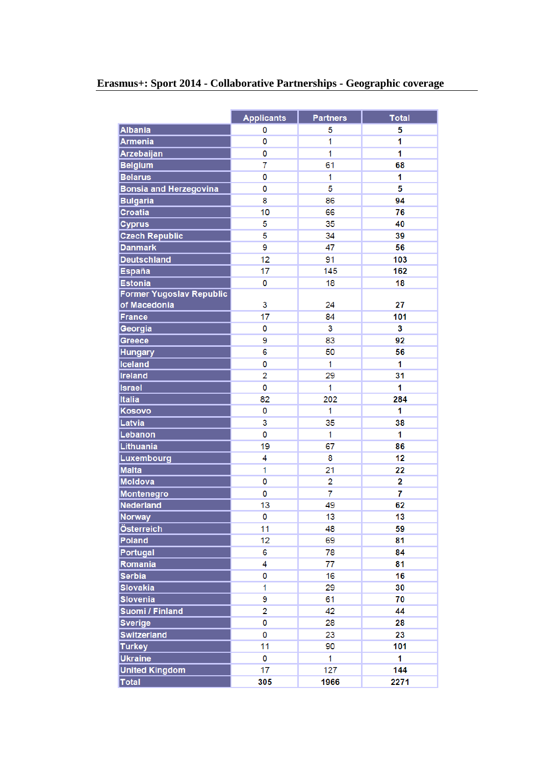|                                 | <b>Applicants</b> | <b>Partners</b> | <b>Total</b> |
|---------------------------------|-------------------|-----------------|--------------|
| <b>Albania</b>                  | 0                 | 5               | 5            |
| <b>Armenia</b>                  | 0                 | 1               | 1            |
| Arzebaijan                      | 0                 | 1               | 1            |
| <b>Belgium</b>                  | 7                 | 61              | 68           |
| <b>Belarus</b>                  | 0                 | 1               | 1            |
| <b>Bonsia and Herzegovina</b>   | 0                 | 5               | 5            |
| <b>Bulgaria</b>                 | 8                 | 86              | 94           |
| Croatia                         | 10                | 66              | 76           |
| <b>Cyprus</b>                   | 5                 | 35              | 40           |
| <b>Czech Republic</b>           | 5                 | 34              | 39           |
| <b>Danmark</b>                  | 9                 | 47              | 56           |
| <b>Deutschland</b>              | 12                | 91              | 103          |
| <b>España</b>                   | 17                | 145             | 162          |
| <b>Estonia</b>                  | 0                 | 18              | 18           |
| <b>Former Yugoslav Republic</b> |                   |                 |              |
| of Macedonia                    | 3                 | 24              | 27           |
| <b>France</b>                   | 17                | 84              | 101          |
| Georgia                         | 0                 | 3               | 3            |
| Greece                          | 9                 | 83              | 92           |
| <b>Hungary</b>                  | 6                 | 50              | 56           |
| <b>Iceland</b>                  | 0                 | 1               | 1            |
| <b>Ireland</b>                  | 2                 | 29              | 31           |
| <b>Israel</b>                   | 0                 | 1               | 1            |
| Italia                          | 82                | 202             | 284          |
| <b>Kosovo</b>                   | 0                 | 1               | 1            |
| Latvia                          | 3                 | 35              | 38           |
| Lebanon                         | 0                 | 1               | 1            |
| Lithuania                       | 19                | 67              | 86           |
| Luxembourg                      | 4                 | 8               | 12           |
| <b>Malta</b>                    | 1                 | 21              | 22           |
| <b>Moldova</b>                  | 0                 | $\overline{c}$  | 2            |
| Montenegro                      | 0                 | $\overline{7}$  | 7            |
| Nederland                       | 13                | 49              | 62           |
| Norway                          | $\overline{0}$    | 13              | 13           |
| Österreich                      | 11                | 48              | 59           |
| Poland                          | 12                | 69              | 81           |
| Portugal                        | 6                 | 78              | 84           |
| Romania                         | 4                 | 77              | 81           |
| <b>Serbia</b>                   | 0                 | 16              | 16           |
| <b>Slovakia</b>                 | 1                 | 29              | 30           |
| <b>Slovenia</b>                 | 9                 | 61              | 70           |
| Suomi / Finland                 | 2                 | 42              | 44           |
| <b>Sverige</b>                  | 0                 | 28              | 28           |
| <b>Switzerland</b>              | 0                 | 23              | 23           |
| <b>Turkey</b>                   | 11                | 90              | 101          |
| <b>Ukraine</b>                  | 0                 | 1               | 1            |
| <b>United Kingdom</b>           | 17                | 127             | 144          |
| <b>Total</b>                    | 305               | 1966            | 2271         |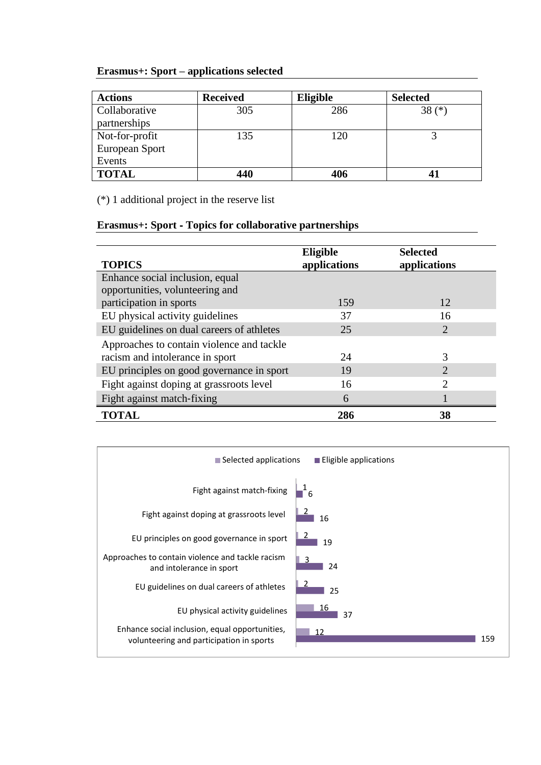## **Erasmus+: Sport – applications selected**

| <b>Actions</b>        | <b>Received</b> | Eligible | <b>Selected</b> |
|-----------------------|-----------------|----------|-----------------|
| <b>Collaborative</b>  | 305             | 286      | $38(*)$         |
| partnerships          |                 |          |                 |
| Not-for-profit        | 135             | 120      |                 |
| <b>European Sport</b> |                 |          |                 |
| Events                |                 |          |                 |
| <b>TOTAL</b>          | 440             | 406      |                 |

(\*) 1 additional project in the reserve list

#### **Erasmus+: Sport** ‐ **Topics for collaborative partnerships**

| <b>TOPICS</b>                             | Eligible<br>applications | <b>Selected</b><br>applications |
|-------------------------------------------|--------------------------|---------------------------------|
| Enhance social inclusion, equal           |                          |                                 |
| opportunities, volunteering and           |                          |                                 |
| participation in sports                   | 159                      | 12                              |
| EU physical activity guidelines           | 37                       | 16                              |
| EU guidelines on dual careers of athletes | 25                       | $\mathcal{D}_{\cdot}$           |
| Approaches to contain violence and tackle |                          |                                 |
| racism and intolerance in sport           | 24                       | 3                               |
| EU principles on good governance in sport | 19                       | $\mathcal{D}$                   |
| Fight against doping at grassroots level  | 16                       | $\mathcal{D}_{\mathcal{L}}$     |
| Fight against match-fixing                | 6                        |                                 |
| <b>TOTAL</b>                              | 286                      | 38                              |

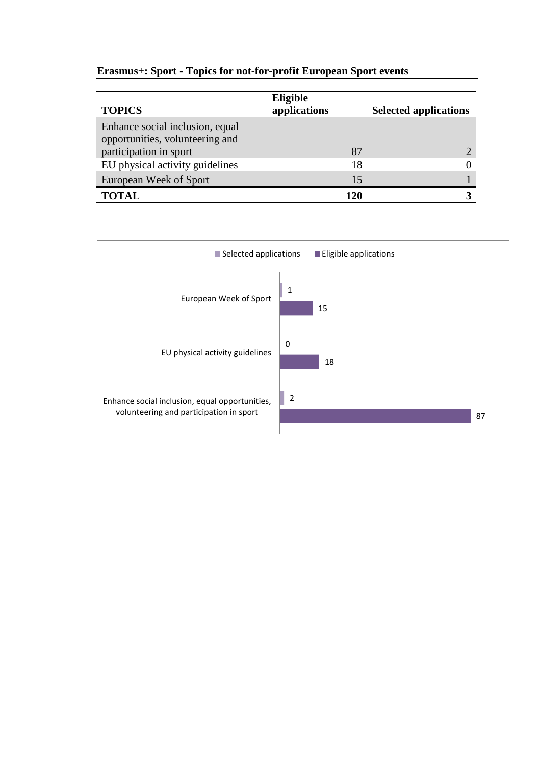## **Erasmus+: Sport** ‐ **Topics for not-for-profit European Sport events**

| <b>TOPICS</b>                                                      | Eligible<br>applications | <b>Selected applications</b> |
|--------------------------------------------------------------------|--------------------------|------------------------------|
| Enhance social inclusion, equal<br>opportunities, volunteering and |                          |                              |
| participation in sport                                             | 87                       |                              |
| EU physical activity guidelines                                    | 18                       |                              |
| European Week of Sport                                             | 15                       |                              |
| <b>TOTAL</b>                                                       | 120                      |                              |

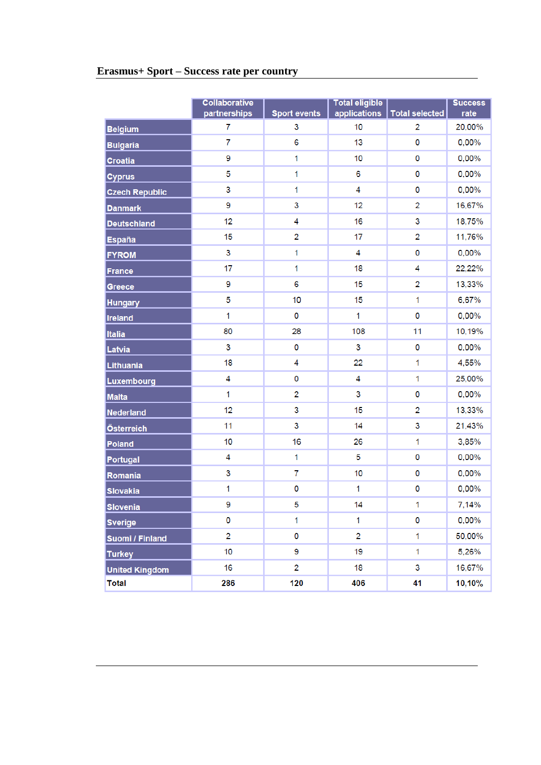# **Erasmus+ Sport – Success rate per country**

|                       | <b>Collaborative</b><br>partnerships | <b>Sport events</b> | <b>Total eligible</b><br>applications | <b>Total selected</b> | <b>Success</b><br>rate |
|-----------------------|--------------------------------------|---------------------|---------------------------------------|-----------------------|------------------------|
| <b>Belgium</b>        | 7                                    | 3                   | 10                                    | $\overline{2}$        | 20,00%                 |
| <b>Bulgaria</b>       | 7                                    | 6                   | 13                                    | 0                     | 0,00%                  |
| <b>Croatia</b>        | 9                                    | 1                   | 10                                    | 0                     | 0,00%                  |
| <b>Cyprus</b>         | 5                                    | 1                   | 6                                     | 0                     | 0,00%                  |
| <b>Czech Republic</b> | 3                                    | $\mathbf{1}$        | 4                                     | 0                     | 0,00%                  |
| <b>Danmark</b>        | 9                                    | 3                   | 12                                    | $\overline{2}$        | 16,67%                 |
| <b>Deutschland</b>    | 12                                   | 4                   | 16                                    | 3                     | 18,75%                 |
| <b>España</b>         | 15                                   | $\overline{2}$      | 17                                    | $\overline{2}$        | 11,76%                 |
| <b>FYROM</b>          | 3                                    | $\mathbf{1}$        | 4                                     | 0                     | $0,00\%$               |
| <b>France</b>         | 17                                   | 1                   | 18                                    | 4                     | 22,22%                 |
| Greece                | 9                                    | 6                   | 15                                    | $\overline{2}$        | 13,33%                 |
| <b>Hungary</b>        | 5                                    | 10                  | 15                                    | $\mathbf 1$           | 6,67%                  |
| <b>Ireland</b>        | 1                                    | 0                   | 1                                     | 0                     | 0,00%                  |
| <b>Italia</b>         | 80                                   | 28                  | 108                                   | 11                    | 10,19%                 |
| Latvia                | 3                                    | 0                   | 3                                     | 0                     | 0,00%                  |
| Lithuania             | 18                                   | 4                   | 22                                    | $\mathbf 1$           | 4,55%                  |
| Luxembourg            | 4                                    | 0                   | 4                                     | 1                     | 25,00%                 |
| <b>Malta</b>          | 1                                    | $\overline{2}$      | 3                                     | 0                     | 0,00%                  |
| <b>Nederland</b>      | 12                                   | 3                   | 15                                    | $\overline{2}$        | 13,33%                 |
| Österreich            | 11                                   | 3                   | 14                                    | 3                     | 21,43%                 |
| Poland                | 10                                   | 16                  | 26                                    | 1                     | 3,85%                  |
| Portugal              | 4                                    | $\mathbf{1}$        | 5                                     | 0                     | 0,00%                  |
| Romania               | 3                                    | $\overline{7}$      | 10                                    | 0                     | 0,00%                  |
| <b>Slovakia</b>       | 1                                    | 0                   | 1                                     | 0                     | 0,00%                  |
| <b>Slovenia</b>       | 9                                    | 5                   | 14                                    | 1                     | 7,14%                  |
| <b>Sverige</b>        | 0                                    | 1                   | 1                                     | 0                     | 0,00%                  |
| Suomi / Finland       | 2                                    | 0                   | $\overline{2}$                        | $\mathbf{1}$          | 50,00%                 |
| <b>Turkey</b>         | 10                                   | 9                   | 19                                    | 1                     | 5,26%                  |
| <b>United Kingdom</b> | 16                                   | $\overline{2}$      | 18                                    | 3                     | 16,67%                 |
| <b>Total</b>          | 286                                  | 120                 | 406                                   | 41                    | 10,10%                 |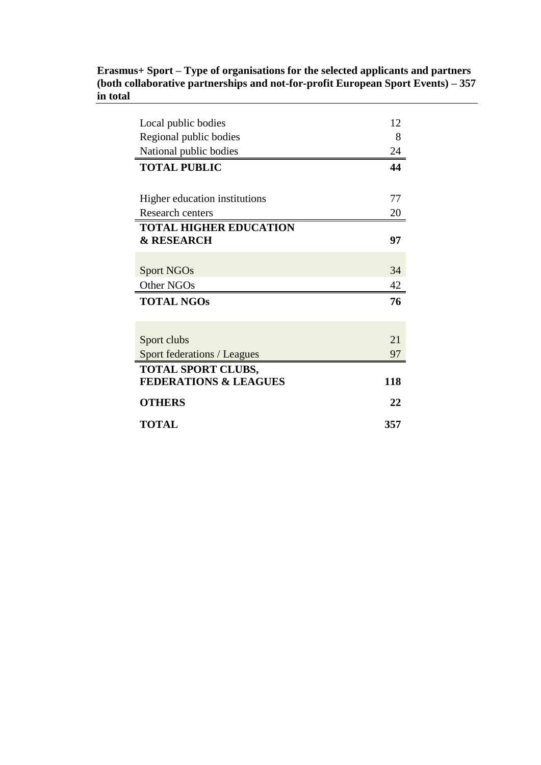#### **Erasmus+ Sport – Type of organisations for the selected applicants and partners (both collaborative partnerships and not-for-profit European Sport Events) – 357 in total**

| Local public bodies                | 12  |
|------------------------------------|-----|
| Regional public bodies             | 8   |
| National public bodies             | 24  |
| <b>TOTAL PUBLIC</b>                | 44  |
|                                    |     |
| Higher education institutions      | 77  |
| Research centers                   | 20  |
| <b>TOTAL HIGHER EDUCATION</b>      |     |
| <b>&amp; RESEARCH</b>              | 97  |
|                                    |     |
| <b>Sport NGOs</b>                  | 34  |
| Other NGOs                         | 42  |
| <b>TOTAL NGOS</b>                  | 76  |
|                                    |     |
|                                    |     |
| Sport clubs                        | 2.1 |
| <b>Sport federations / Leagues</b> | 97  |
| <b>TOTAL SPORT CLUBS,</b>          |     |
| <b>FEDERATIONS &amp; LEAGUES</b>   | 118 |
| <b>OTHERS</b>                      | 22  |
| TOTAL                              | 357 |